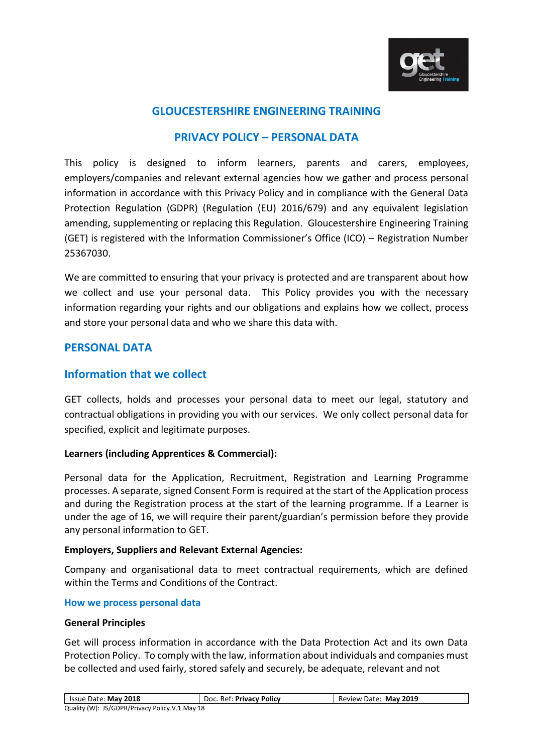

# **GLOUCESTERSHIRE ENGINEERING TRAINING**

# **PRIVACY POLICY – PERSONAL DATA**

This policy is designed to inform learners, parents and carers, employees, employers/companies and relevant external agencies how we gather and process personal information in accordance with this Privacy Policy and in compliance with the General Data Protection Regulation (GDPR) (Regulation (EU) 2016/679) and any equivalent legislation amending, supplementing or replacing this Regulation. Gloucestershire Engineering Training (GET) is registered with the Information Commissioner's Office (ICO) – Registration Number 25367030.

We are committed to ensuring that your privacy is protected and are transparent about how we collect and use your personal data. This Policy provides you with the necessary information regarding your rights and our obligations and explains how we collect, process and store your personal data and who we share this data with.

# **PERSONAL DATA**

# **Information that we collect**

GET collects, holds and processes your personal data to meet our legal, statutory and contractual obligations in providing you with our services. We only collect personal data for specified, explicit and legitimate purposes.

## **Learners (including Apprentices & Commercial):**

Personal data for the Application, Recruitment, Registration and Learning Programme processes. A separate, signed Consent Form is required at the start of the Application process and during the Registration process at the start of the learning programme. If a Learner is under the age of 16, we will require their parent/guardian's permission before they provide any personal information to GET.

### **Employers, Suppliers and Relevant External Agencies:**

Company and organisational data to meet contractual requirements, which are defined within the Terms and Conditions of the Contract.

### **How we process personal data**

### **General Principles**

Get will process information in accordance with the Data Protection Act and its own Data Protection Policy. To comply with the law, information about individuals and companies must be collected and used fairly, stored safely and securely, be adequate, relevant and not

| Issue Date: May 2018                           | Doc. Ref: Privacy Policy | Review Date: May 2019 |
|------------------------------------------------|--------------------------|-----------------------|
| Quality (W): JS/GDPR/Privacy Policy.V.1.May 18 |                          |                       |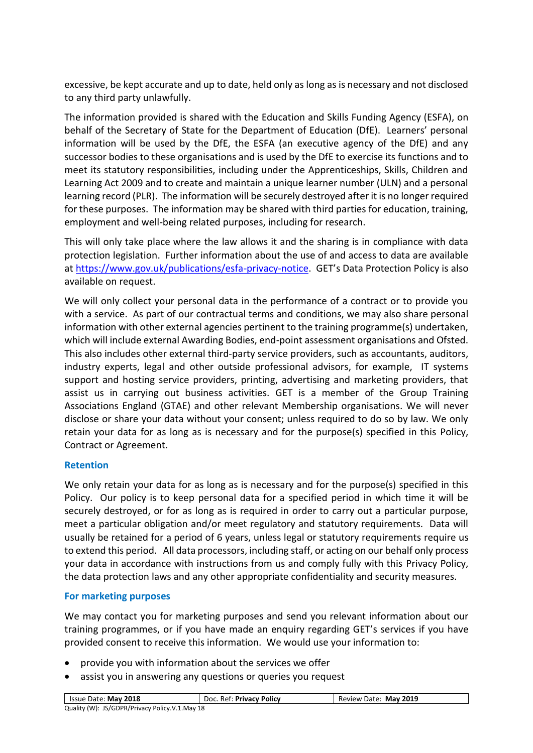excessive, be kept accurate and up to date, held only as long as is necessary and not disclosed to any third party unlawfully.

The information provided is shared with the Education and Skills Funding Agency (ESFA), on behalf of the Secretary of State for the Department of Education (DfE). Learners' personal information will be used by the DfE, the ESFA (an executive agency of the DfE) and any successor bodies to these organisations and is used by the DfE to exercise its functions and to meet its statutory responsibilities, including under the Apprenticeships, Skills, Children and Learning Act 2009 and to create and maintain a unique learner number (ULN) and a personal learning record (PLR). The information will be securely destroyed after it is no longer required for these purposes. The information may be shared with third parties for education, training, employment and well-being related purposes, including for research.

This will only take place where the law allows it and the sharing is in compliance with data protection legislation. Further information about the use of and access to data are available at [https://www.gov.uk/publications/esfa-privacy-notice.](https://www.gov.uk/publications/esfa-privacy-notice) GET's Data Protection Policy is also available on request.

We will only collect your personal data in the performance of a contract or to provide you with a service. As part of our contractual terms and conditions, we may also share personal information with other external agencies pertinent to the training programme(s) undertaken, which will include external Awarding Bodies, end-point assessment organisations and Ofsted. This also includes other external third-party service providers, such as accountants, auditors, industry experts, legal and other outside professional advisors, for example, IT systems support and hosting service providers, printing, advertising and marketing providers, that assist us in carrying out business activities. GET is a member of the Group Training Associations England (GTAE) and other relevant Membership organisations. We will never disclose or share your data without your consent; unless required to do so by law. We only retain your data for as long as is necessary and for the purpose(s) specified in this Policy, Contract or Agreement.

## **Retention**

We only retain your data for as long as is necessary and for the purpose(s) specified in this Policy. Our policy is to keep personal data for a specified period in which time it will be securely destroyed, or for as long as is required in order to carry out a particular purpose, meet a particular obligation and/or meet regulatory and statutory requirements. Data will usually be retained for a period of 6 years, unless legal or statutory requirements require us to extend this period. All data processors, including staff, or acting on our behalf only process your data in accordance with instructions from us and comply fully with this Privacy Policy, the data protection laws and any other appropriate confidentiality and security measures.

## **For marketing purposes**

We may contact you for marketing purposes and send you relevant information about our training programmes, or if you have made an enquiry regarding GET's services if you have provided consent to receive this information. We would use your information to:

- provide you with information about the services we offer
- assist you in answering any questions or queries you request

| Issue Date: May 2018                           | Doc. Ref: Privacy Policy | Review Date: May 2019 |
|------------------------------------------------|--------------------------|-----------------------|
| Quality (W): JS/GDPR/Privacy Policy.V.1.May 18 |                          |                       |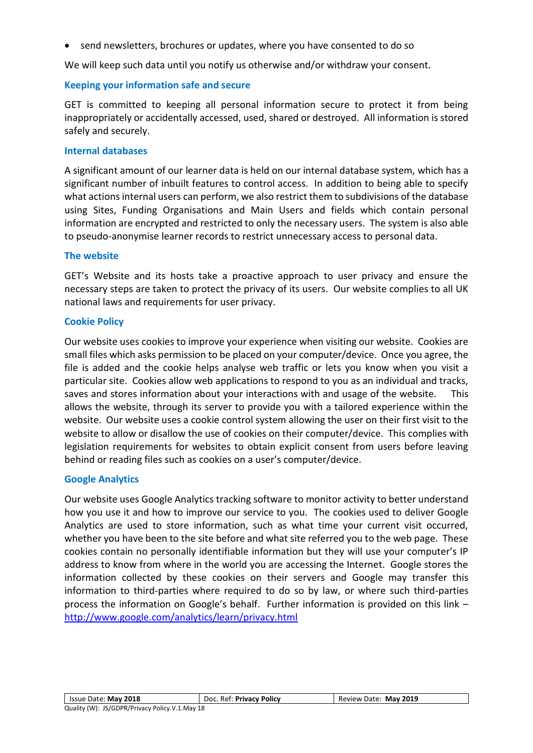• send newsletters, brochures or updates, where you have consented to do so

We will keep such data until you notify us otherwise and/or withdraw your consent.

## **Keeping your information safe and secure**

GET is committed to keeping all personal information secure to protect it from being inappropriately or accidentally accessed, used, shared or destroyed. All information is stored safely and securely.

### **Internal databases**

A significant amount of our learner data is held on our internal database system, which has a significant number of inbuilt features to control access. In addition to being able to specify what actions internal users can perform, we also restrict them to subdivisions of the database using Sites, Funding Organisations and Main Users and fields which contain personal information are encrypted and restricted to only the necessary users. The system is also able to pseudo-anonymise learner records to restrict unnecessary access to personal data.

## **The website**

GET's Website and its hosts take a proactive approach to user privacy and ensure the necessary steps are taken to protect the privacy of its users. Our website complies to all UK national laws and requirements for user privacy.

## **Cookie Policy**

Our website uses cookies to improve your experience when visiting our website. Cookies are small files which asks permission to be placed on your computer/device. Once you agree, the file is added and the cookie helps analyse web traffic or lets you know when you visit a particular site. Cookies allow web applications to respond to you as an individual and tracks, saves and stores information about your interactions with and usage of the website. This allows the website, through its server to provide you with a tailored experience within the website. Our website uses a cookie control system allowing the user on their first visit to the website to allow or disallow the use of cookies on their computer/device. This complies with legislation requirements for websites to obtain explicit consent from users before leaving behind or reading files such as cookies on a user's computer/device.

## **Google Analytics**

Our website uses Google Analytics tracking software to monitor activity to better understand how you use it and how to improve our service to you. The cookies used to deliver Google Analytics are used to store information, such as what time your current visit occurred, whether you have been to the site before and what site referred you to the web page. These cookies contain no personally identifiable information but they will use your computer's IP address to know from where in the world you are accessing the Internet. Google stores the information collected by these cookies on their servers and Google may transfer this information to third-parties where required to do so by law, or where such third-parties process the information on Google's behalf. Further information is provided on this link – <http://www.google.com/analytics/learn/privacy.html>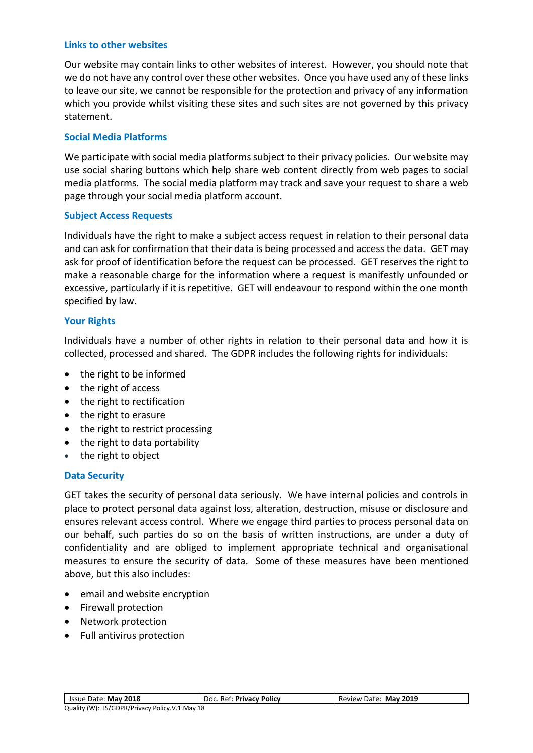### **Links to other websites**

Our website may contain links to other websites of interest. However, you should note that we do not have any control over these other websites. Once you have used any of these links to leave our site, we cannot be responsible for the protection and privacy of any information which you provide whilst visiting these sites and such sites are not governed by this privacy statement.

### **Social Media Platforms**

We participate with social media platforms subject to their privacy policies. Our website may use social sharing buttons which help share web content directly from web pages to social media platforms. The social media platform may track and save your request to share a web page through your social media platform account.

### **Subject Access Requests**

Individuals have the right to make a subject access request in relation to their personal data and can ask for confirmation that their data is being processed and access the data. GET may ask for proof of identification before the request can be processed. GET reserves the right to make a reasonable charge for the information where a request is manifestly unfounded or excessive, particularly if it is repetitive. GET will endeavour to respond within the one month specified by law.

### **Your Rights**

Individuals have a number of other rights in relation to their personal data and how it is collected, processed and shared. The GDPR includes the following rights for individuals:

- the right to be informed
- the right of access
- the right to rectification
- the right to erasure
- the right to restrict processing
- the right to data portability
- the right to object

### **Data Security**

GET takes the security of personal data seriously. We have internal policies and controls in place to protect personal data against loss, alteration, destruction, misuse or disclosure and ensures relevant access control. Where we engage third parties to process personal data on our behalf, such parties do so on the basis of written instructions, are under a duty of confidentiality and are obliged to implement appropriate technical and organisational measures to ensure the security of data. Some of these measures have been mentioned above, but this also includes:

- email and website encryption
- Firewall protection
- Network protection
- Full antivirus protection